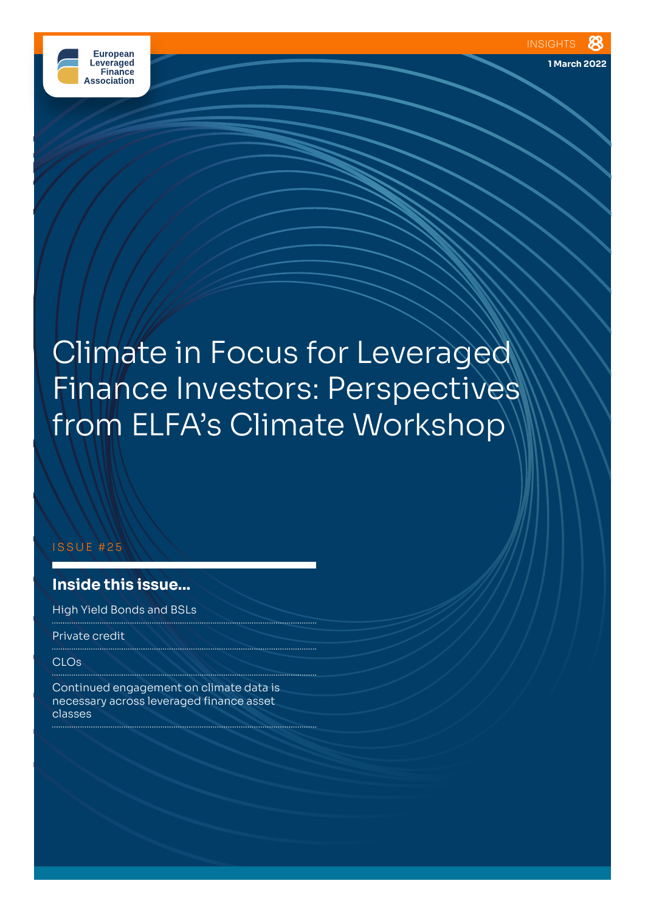

# Climate in Focus for Leveraged Finance Investors: Perspectives from ELFA's Climate Workshop

#### ISSUE #25

# **Inside this issue...**

High Yield Bonds and BSLs

Private credit

CLOs

Continued engagement on climate data is necessary across leveraged finance asset classes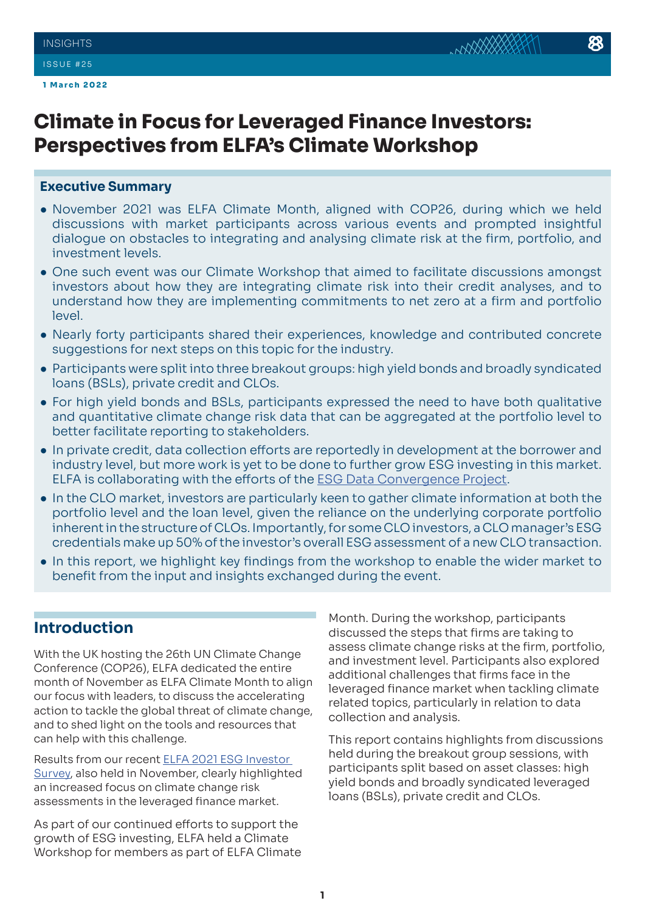# **Climate in Focus for Leveraged Finance Investors: Perspectives from ELFA's Climate Workshop**

### **Executive Summary**

- November 2021 was ELFA Climate Month, aligned with COP26, during which we held discussions with market participants across various events and prompted insightful dialogue on obstacles to integrating and analysing climate risk at the firm, portfolio, and investment levels.
- One such event was our Climate Workshop that aimed to facilitate discussions amongst investors about how they are integrating climate risk into their credit analyses, and to understand how they are implementing commitments to net zero at a firm and portfolio level.
- Nearly forty participants shared their experiences, knowledge and contributed concrete suggestions for next steps on this topic for the industry.
- Participants were split into three breakout groups: high yield bonds and broadly syndicated loans (BSLs), private credit and CLOs.
- For high yield bonds and BSLs, participants expressed the need to have both qualitative and quantitative climate change risk data that can be aggregated at the portfolio level to better facilitate reporting to stakeholders.
- In private credit, data collection efforts are reportedly in development at the borrower and industry level, but more work is yet to be done to further grow ESG investing in this market. ELFA is collaborating with the efforts of the [ESG Data Convergence Project](https://ilpa.org/ilpa_esg_roadmap/esg_data_convergence_project/).
- In the CLO market, investors are particularly keen to gather climate information at both the portfolio level and the loan level, given the reliance on the underlying corporate portfolio inherent in the structure of CLOs. Importantly, for some CLO investors, a CLO manager's ESG credentials make up 50% of the investor's overall ESG assessment of a new CLO transaction.
- In this report, we highlight key findings from the workshop to enable the wider market to benefit from the input and insights exchanged during the event.

# **Introduction**

With the UK hosting the 26th UN Climate Change Conference (COP26), ELFA dedicated the entire month of November as ELFA Climate Month to align our focus with leaders, to discuss the accelerating action to tackle the global threat of climate change, and to shed light on the tools and resources that can help with this challenge.

Results from our recent [ELFA 2021 ESG Investor](https://elfainvestors.com/wp-content/uploads/2022/01/ELFA-Insights-24-ESG-Integration-in-Leveraged-Finance-%E2%80%93-Continued-Focus-Amidst-Persistent-Data-Gaps-ELFAs-2021-ESG-Investor-Survey-Results.pdf)  [Survey,](https://elfainvestors.com/wp-content/uploads/2022/01/ELFA-Insights-24-ESG-Integration-in-Leveraged-Finance-%E2%80%93-Continued-Focus-Amidst-Persistent-Data-Gaps-ELFAs-2021-ESG-Investor-Survey-Results.pdf) also held in November, clearly highlighted an increased focus on climate change risk assessments in the leveraged finance market.

As part of our continued efforts to support the growth of ESG investing, ELFA held a Climate Workshop for members as part of ELFA Climate

Month. During the workshop, participants discussed the steps that firms are taking to assess climate change risks at the firm, portfolio, and investment level. Participants also explored additional challenges that firms face in the leveraged finance market when tackling climate related topics, particularly in relation to data collection and analysis.

This report contains highlights from discussions held during the breakout group sessions, with participants split based on asset classes: high yield bonds and broadly syndicated leveraged loans (BSLs), private credit and CLOs.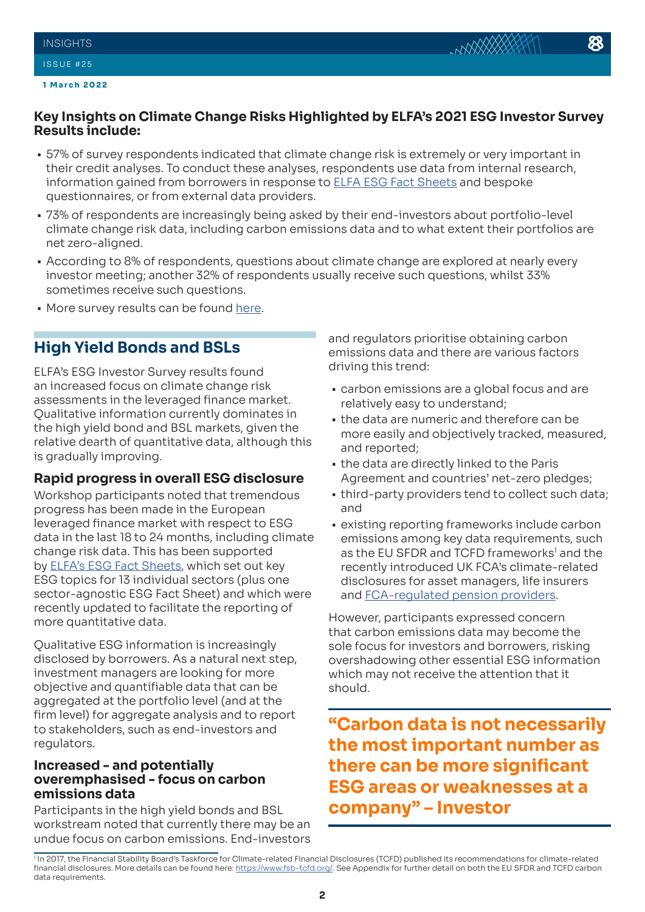

- 57% of survey respondents indicated that climate change risk is extremely or very important in their credit analyses. To conduct these analyses, respondents use data from internal research, information gained from borrowers in response to [ELFA ESG Fact Sheets](https://elfainvestors.com/publications/elfa-diligence/) and bespoke questionnaires, or from external data providers.
- 73% of respondents are increasingly being asked by their end-investors about portfolio-level climate change risk data, including carbon emissions data and to what extent their portfolios are net zero-aligned.
- According to 8% of respondents, questions about climate change are explored at nearly every investor meeting; another 32% of respondents usually receive such questions, whilst 33% sometimes receive such questions.
- More survey results can be found [here](https://elfainvestors.com/wp-content/uploads/2022/01/ELFA-Insights-24-ESG-Integration-in-Leveraged-Finance-%E2%80%93-Continued-Focus-Amidst-Persistent-Data-Gaps-ELFAs-2021-ESG-Investor-Survey-Results.pdf).

# **High Yield Bonds and BSLs**

ELFA's ESG Investor Survey results found an increased focus on climate change risk assessments in the leveraged finance market. Qualitative information currently dominates in the high yield bond and BSL markets, given the relative dearth of quantitative data, although this is gradually improving.

### **Rapid progress in overall ESG disclosure**

Workshop participants noted that tremendous progress has been made in the European leveraged finance market with respect to ESG data in the last 18 to 24 months, including climate change risk data. This has been supported by [ELFA's ESG Fact Sheets](https://elfainvestors.com/publications/elfa-diligence/), which set out key ESG topics for 13 individual sectors (plus one sector-agnostic ESG Fact Sheet) and which were recently updated to facilitate the reporting of more quantitative data.

Qualitative ESG information is increasingly disclosed by borrowers. As a natural next step, investment managers are looking for more objective and quantifiable data that can be aggregated at the portfolio level (and at the firm level) for aggregate analysis and to report to stakeholders, such as end-investors and regulators.

### **Increased - and potentially overemphasised - focus on carbon emissions data**

Participants in the high yield bonds and BSL workstream noted that currently there may be an undue focus on carbon emissions. End-investors and regulators prioritise obtaining carbon emissions data and there are various factors driving this trend:

- carbon emissions are a global focus and are relatively easy to understand;
- the data are numeric and therefore can be more easily and objectively tracked, measured, and reported;
- the data are directly linked to the Paris Agreement and countries' net-zero pledges;
- third-party providers tend to collect such data; and
- existing reporting frameworks include carbon emissions among key data requirements, such as the EU SFDR and TCFD frameworks<sup>1</sup> and the recently introduced UK FCA's climate-related disclosures for asset managers, life insurers and [FCA-regulated pension providers.](https://www.fca.org.uk/publications/policy-statements/ps-21-24-climate-related-disclosures-asset-managers-life-insurers-regulated-pensions)

However, participants expressed concern that carbon emissions data may become the sole focus for investors and borrowers, risking overshadowing other essential ESG information which may not receive the attention that it should.

**"Carbon data is not necessarily the most important number as there can be more significant ESG areas or weaknesses at a company" – Investor**

<sup>1</sup> In 2017, the Financial Stability Board's Taskforce for Climate-related Financial Disclosures (TCFD) published its recommendations for climate-related financial disclosures. More details can be found here: [https://www.fsb-tcfd.org/.](https://www.fsb-tcfd.org/) See Appendix for further detail on both the EU SFDR and TCFD carbon data requirements.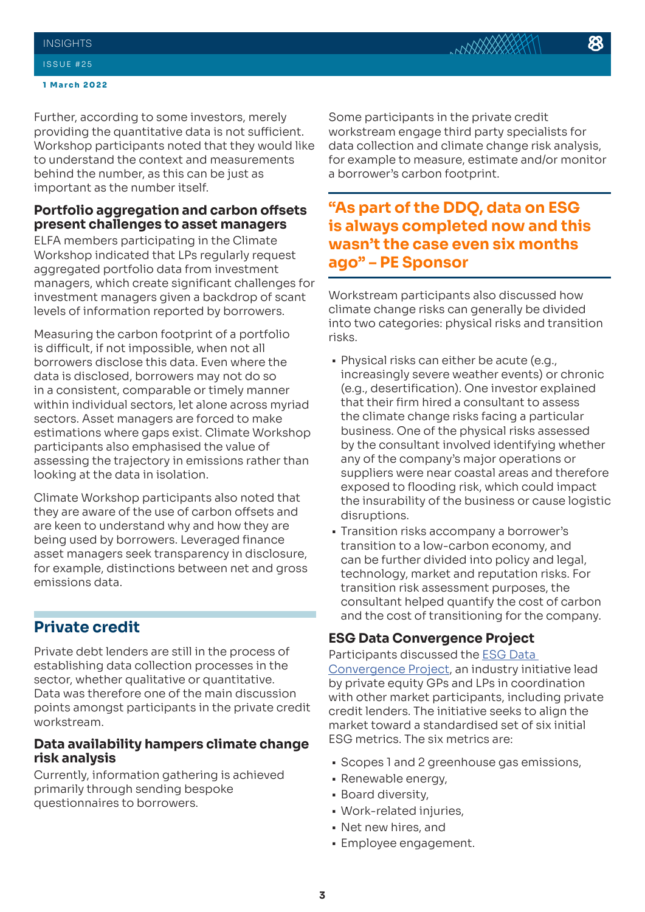#### **INSIGHTS**

#### ISSUE #25

#### **1 March 2022**

Further, according to some investors, merely providing the quantitative data is not sufficient. Workshop participants noted that they would like to understand the context and measurements behind the number, as this can be just as important as the number itself.

# **Portfolio aggregation and carbon offsets present challenges to asset managers**

ELFA members participating in the Climate Workshop indicated that LPs regularly request aggregated portfolio data from investment managers, which create significant challenges for investment managers given a backdrop of scant levels of information reported by borrowers.

Measuring the carbon footprint of a portfolio is difficult, if not impossible, when not all borrowers disclose this data. Even where the data is disclosed, borrowers may not do so in a consistent, comparable or timely manner within individual sectors, let alone across myriad sectors. Asset managers are forced to make estimations where gaps exist. Climate Workshop participants also emphasised the value of assessing the trajectory in emissions rather than looking at the data in isolation.

Climate Workshop participants also noted that they are aware of the use of carbon offsets and are keen to understand why and how they are being used by borrowers. Leveraged finance asset managers seek transparency in disclosure, for example, distinctions between net and gross emissions data.

# **Private credit**

Private debt lenders are still in the process of establishing data collection processes in the sector, whether qualitative or quantitative. Data was therefore one of the main discussion points amongst participants in the private credit workstream.

### **Data availability hampers climate change risk analysis**

Currently, information gathering is achieved primarily through sending bespoke questionnaires to borrowers.

Some participants in the private credit workstream engage third party specialists for data collection and climate change risk analysis, for example to measure, estimate and/or monitor a borrower's carbon footprint.

**"As part of the DDQ, data on ESG is always completed now and this wasn't the case even six months ago" – PE Sponsor**

Workstream participants also discussed how climate change risks can generally be divided into two categories: physical risks and transition risks.

- Physical risks can either be acute (e.g., increasingly severe weather events) or chronic (e.g., desertification). One investor explained that their firm hired a consultant to assess the climate change risks facing a particular business. One of the physical risks assessed by the consultant involved identifying whether any of the company's major operations or suppliers were near coastal areas and therefore exposed to flooding risk, which could impact the insurability of the business or cause logistic disruptions.
- Transition risks accompany a borrower's transition to a low-carbon economy, and can be further divided into policy and legal, technology, market and reputation risks. For transition risk assessment purposes, the consultant helped quantify the cost of carbon and the cost of transitioning for the company.

### **ESG Data Convergence Project**

Participants discussed the [ESG Data](https://ilpa.org/ilpa_esg_roadmap/esg_data_convergence_project/)  [Convergence Project,](https://ilpa.org/ilpa_esg_roadmap/esg_data_convergence_project/) an industry initiative lead by private equity GPs and LPs in coordination with other market participants, including private credit lenders. The initiative seeks to align the market toward a standardised set of six initial ESG metrics. The six metrics are:

- Scopes 1 and 2 greenhouse gas emissions,
- Renewable energy,
- Board diversity,
- Work-related injuries,
- Net new hires, and
- Employee engagement.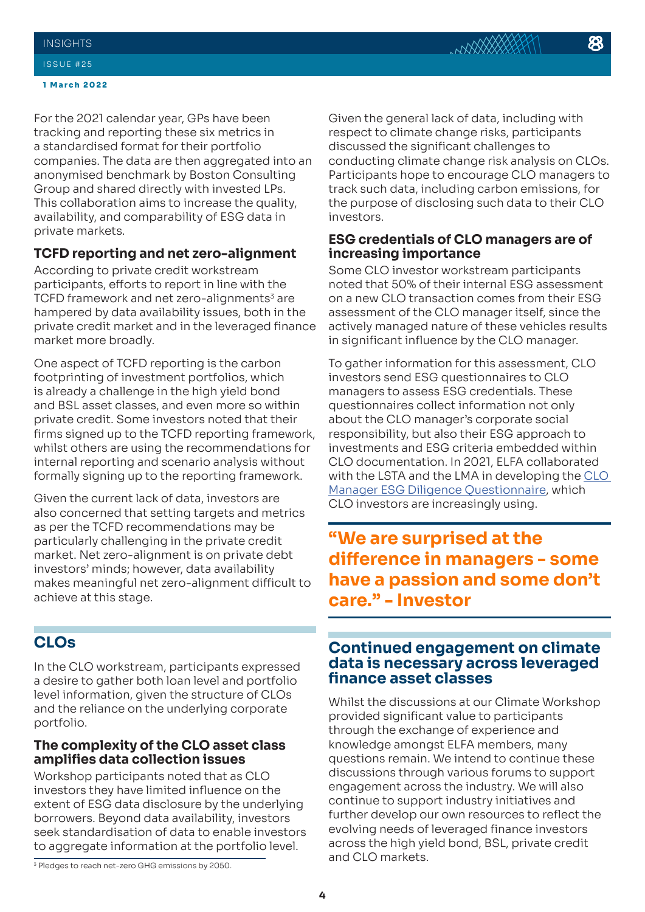#### ISSUE #25

#### **1 March 2022**

For the 2021 calendar year, GPs have been tracking and reporting these six metrics in a standardised format for their portfolio companies. The data are then aggregated into an anonymised benchmark by Boston Consulting Group and shared directly with invested LPs. This collaboration aims to increase the quality, availability, and comparability of ESG data in private markets.

### **TCFD reporting and net zero-alignment**

According to private credit workstream participants, efforts to report in line with the TCFD framework and net zero-alignments<sup>3</sup> are hampered by data availability issues, both in the private credit market and in the leveraged finance market more broadly.

One aspect of TCFD reporting is the carbon footprinting of investment portfolios, which is already a challenge in the high yield bond and BSL asset classes, and even more so within private credit. Some investors noted that their firms signed up to the TCFD reporting framework, whilst others are using the recommendations for internal reporting and scenario analysis without formally signing up to the reporting framework.

Given the current lack of data, investors are also concerned that setting targets and metrics as per the TCFD recommendations may be particularly challenging in the private credit market. Net zero-alignment is on private debt investors' minds; however, data availability makes meaningful net zero-alignment difficult to achieve at this stage.

# **CLOs**

In the CLO workstream, participants expressed a desire to gather both loan level and portfolio level information, given the structure of CLOs and the reliance on the underlying corporate portfolio.

### **The complexity of the CLO asset class amplifies data collection issues**

Workshop participants noted that as CLO investors they have limited influence on the extent of ESG data disclosure by the underlying borrowers. Beyond data availability, investors seek standardisation of data to enable investors to aggregate information at the portfolio level.

Given the general lack of data, including with respect to climate change risks, participants discussed the significant challenges to conducting climate change risk analysis on CLOs. Participants hope to encourage CLO managers to track such data, including carbon emissions, for the purpose of disclosing such data to their CLO investors.

### **ESG credentials of CLO managers are of increasing importance**

Some CLO investor workstream participants noted that 50% of their internal ESG assessment on a new CLO transaction comes from their ESG assessment of the CLO manager itself, since the actively managed nature of these vehicles results in significant influence by the CLO manager.

To gather information for this assessment, CLO investors send ESG questionnaires to CLO managers to assess ESG credentials. These questionnaires collect information not only about the CLO manager's corporate social responsibility, but also their ESG approach to investments and ESG criteria embedded within CLO documentation. In 2021, ELFA collaborated with the LSTA and the LMA in developing the [CLO](https://elfainvestors.com/wp-content/uploads/2021/06/ESG-Diligence-Questionnaire-Asset-Manager.docx)  [Manager ESG Diligence Questionnaire](https://elfainvestors.com/wp-content/uploads/2021/06/ESG-Diligence-Questionnaire-Asset-Manager.docx), which CLO investors are increasingly using.

# **"We are surprised at the difference in managers - some have a passion and some don't care." - Investor**

# **Continued engagement on climate data is necessary across leveraged finance asset classes**

Whilst the discussions at our Climate Workshop provided significant value to participants through the exchange of experience and knowledge amongst ELFA members, many questions remain. We intend to continue these discussions through various forums to support engagement across the industry. We will also continue to support industry initiatives and further develop our own resources to reflect the evolving needs of leveraged finance investors across the high yield bond, BSL, private credit

and CLO markets.